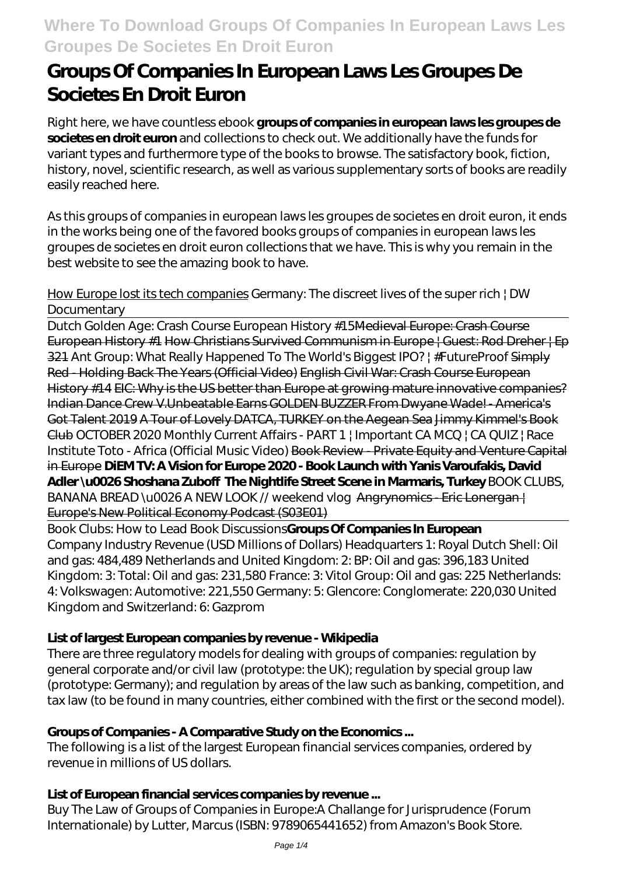# **Groups Of Companies In European Laws Les Groupes De Societes En Droit Euron**

Right here, we have countless ebook **groups of companies in european laws les groupes de societes en droit euron** and collections to check out. We additionally have the funds for variant types and furthermore type of the books to browse. The satisfactory book, fiction, history, novel, scientific research, as well as various supplementary sorts of books are readily easily reached here.

As this groups of companies in european laws les groupes de societes en droit euron, it ends in the works being one of the favored books groups of companies in european laws les groupes de societes en droit euron collections that we have. This is why you remain in the best website to see the amazing book to have.

## How Europe lost its tech companies *Germany: The discreet lives of the super rich | DW Documentary*

Dutch Golden Age: Crash Course European History #15Medieval Europe: Crash Course European History #1 How Christians Survived Communism in Europe | Guest: Rod Dreher | Ep 321 *Ant Group: What Really Happened To The World's Biggest IPO? | #FutureProof* Simply Red - Holding Back The Years (Official Video) English Civil War: Crash Course European History #14 EIC: Why is the US better than Europe at growing mature innovative companies? Indian Dance Crew V.Unbeatable Earns GOLDEN BUZZER From Dwyane Wade! - America's Got Talent 2019 A Tour of Lovely DATCA, TURKEY on the Aegean Sea Jimmy Kimmel's Book Club *OCTOBER 2020 Monthly Current Affairs - PART 1 | Important CA MCQ | CA QUIZ | Race Institute Toto - Africa (Official Music Video)* Book Review - Private Equity and Venture Capital in Europe **DiEM TV: A Vision for Europe 2020 - Book Launch with Yanis Varoufakis, David Adler \u0026 Shoshana Zuboff The Nightlife Street Scene in Marmaris, Turkey** BOOK CLUBS, BANANA BREAD \u0026 A NEW LOOK // weekend vlog Angrynomics-Eric Lonergan-Europe's New Political Economy Podcast (S03E01)

Book Clubs: How to Lead Book Discussions**Groups Of Companies In European** Company Industry Revenue (USD Millions of Dollars) Headquarters 1: Royal Dutch Shell: Oil and gas: 484,489 Netherlands and United Kingdom: 2: BP: Oil and gas: 396,183 United Kingdom: 3: Total: Oil and gas: 231,580 France: 3: Vitol Group: Oil and gas: 225 Netherlands: 4: Volkswagen: Automotive: 221,550 Germany: 5: Glencore: Conglomerate: 220,030 United Kingdom and Switzerland: 6: Gazprom

## **List of largest European companies by revenue - Wikipedia**

There are three regulatory models for dealing with groups of companies: regulation by general corporate and/or civil law (prototype: the UK); regulation by special group law (prototype: Germany); and regulation by areas of the law such as banking, competition, and tax law (to be found in many countries, either combined with the first or the second model).

## **Groups of Companies - A Comparative Study on the Economics ...**

The following is a list of the largest European financial services companies, ordered by revenue in millions of US dollars.

## **List of European financial services companies by revenue ...**

Buy The Law of Groups of Companies in Europe:A Challange for Jurisprudence (Forum Internationale) by Lutter, Marcus (ISBN: 9789065441652) from Amazon's Book Store.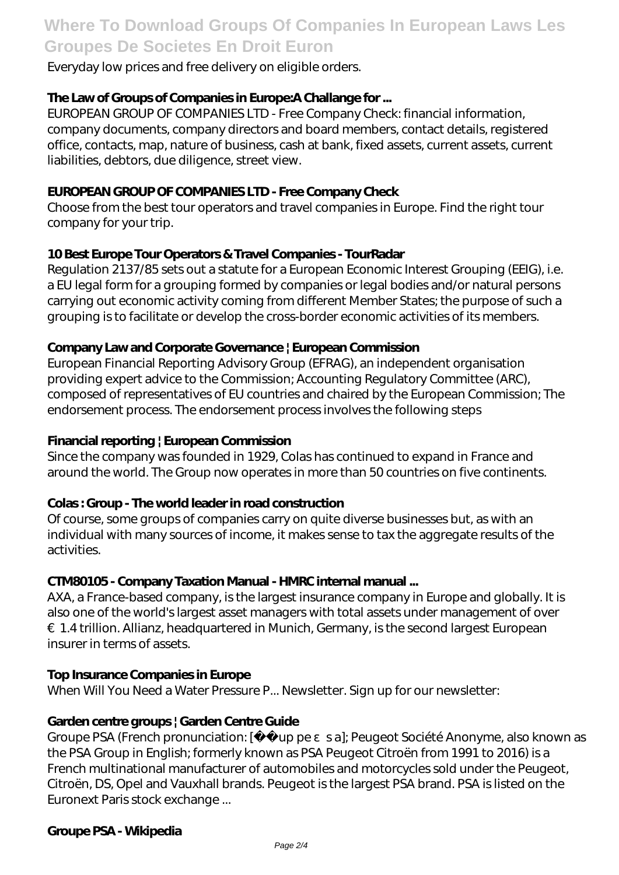## **Where To Download Groups Of Companies In European Laws Les Groupes De Societes En Droit Euron**

Everyday low prices and free delivery on eligible orders.

## **The Law of Groups of Companies in Europe:A Challange for ...**

EUROPEAN GROUP OF COMPANIES LTD - Free Company Check: financial information, company documents, company directors and board members, contact details, registered office, contacts, map, nature of business, cash at bank, fixed assets, current assets, current liabilities, debtors, due diligence, street view.

### **EUROPEAN GROUP OF COMPANIES LTD - Free Company Check**

Choose from the best tour operators and travel companies in Europe. Find the right tour company for your trip.

## **10 Best Europe Tour Operators & Travel Companies - TourRadar**

Regulation 2137/85 sets out a statute for a European Economic Interest Grouping (EEIG), i.e. a EU legal form for a grouping formed by companies or legal bodies and/or natural persons carrying out economic activity coming from different Member States; the purpose of such a grouping is to facilitate or develop the cross-border economic activities of its members.

#### **Company Law and Corporate Governance | European Commission**

European Financial Reporting Advisory Group (EFRAG), an independent organisation providing expert advice to the Commission; Accounting Regulatory Committee (ARC), composed of representatives of EU countries and chaired by the European Commission; The endorsement process. The endorsement process involves the following steps

### **Financial reporting | European Commission**

Since the company was founded in 1929, Colas has continued to expand in France and around the world. The Group now operates in more than 50 countries on five continents.

## **Colas : Group - The world leader in road construction**

Of course, some groups of companies carry on quite diverse businesses but, as with an individual with many sources of income, it makes sense to tax the aggregate results of the activities.

#### **CTM80105 - Company Taxation Manual - HMRC internal manual ...**

AXA, a France-based company, is the largest insurance company in Europe and globally. It is also one of the world's largest asset managers with total assets under management of over €1.4 trillion. Allianz, headquartered in Munich, Germany, is the second largest European insurer in terms of assets.

#### **Top Insurance Companies in Europe**

When Will You Need a Water Pressure P... Newsletter. Sign up for our newsletter:

#### **Garden centre groups | Garden Centre Guide**

Groupe PSA (French pronunciation: [ wp pe sa]; Peugeot Société Anonyme, also known as the PSA Group in English; formerly known as PSA Peugeot Citroën from 1991 to 2016) is a French multinational manufacturer of automobiles and motorcycles sold under the Peugeot, Citroën, DS, Opel and Vauxhall brands. Peugeot is the largest PSA brand. PSA is listed on the Euronext Paris stock exchange ...

#### **Groupe PSA - Wikipedia**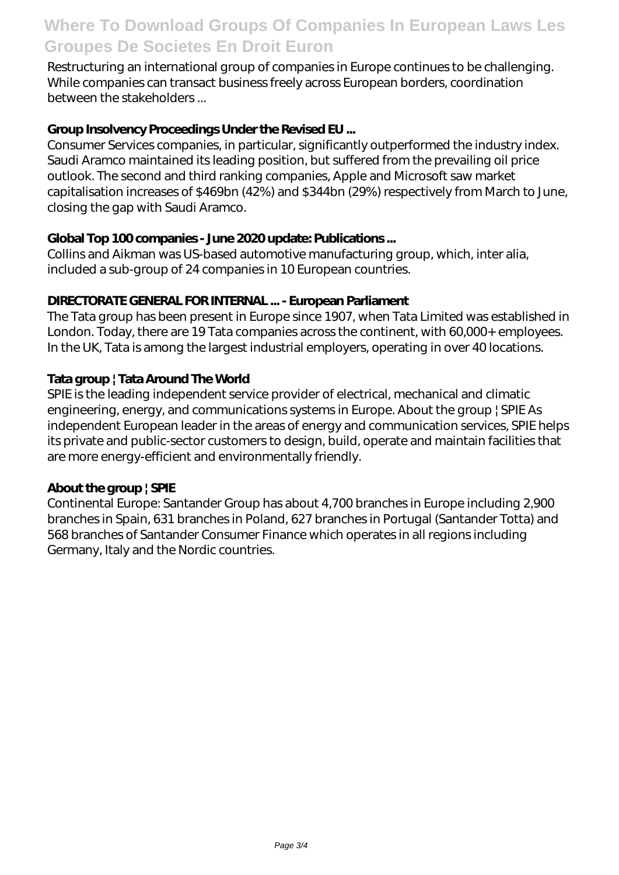## **Where To Download Groups Of Companies In European Laws Les Groupes De Societes En Droit Euron**

Restructuring an international group of companies in Europe continues to be challenging. While companies can transact business freely across European borders, coordination between the stakeholders ...

## **Group Insolvency Proceedings Under the Revised EU ...**

Consumer Services companies, in particular, significantly outperformed the industry index. Saudi Aramco maintained its leading position, but suffered from the prevailing oil price outlook. The second and third ranking companies, Apple and Microsoft saw market capitalisation increases of \$469bn (42%) and \$344bn (29%) respectively from March to June, closing the gap with Saudi Aramco.

## **Global Top 100 companies - June 2020 update: Publications ...**

Collins and Aikman was US-based automotive manufacturing group, which, inter alia, included a sub-group of 24 companies in 10 European countries.

## **DIRECTORATE GENERAL FOR INTERNAL ... - European Parliament**

The Tata group has been present in Europe since 1907, when Tata Limited was established in London. Today, there are 19 Tata companies across the continent, with 60,000+ employees. In the UK, Tata is among the largest industrial employers, operating in over 40 locations.

## **Tata group | Tata Around The World**

SPIE is the leading independent service provider of electrical, mechanical and climatic engineering, energy, and communications systems in Europe. About the group | SPIE As independent European leader in the areas of energy and communication services, SPIE helps its private and public-sector customers to design, build, operate and maintain facilities that are more energy-efficient and environmentally friendly.

## **About the group | SPIE**

Continental Europe: Santander Group has about 4,700 branches in Europe including 2,900 branches in Spain, 631 branches in Poland, 627 branches in Portugal (Santander Totta) and 568 branches of Santander Consumer Finance which operates in all regions including Germany, Italy and the Nordic countries.